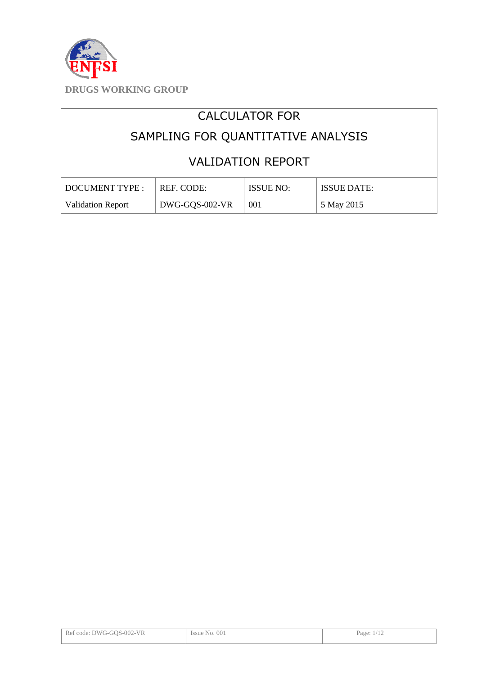

# CALCULATOR FOR

# SAMPLING FOR QUANTITATIVE ANALYSIS

# VALIDATION REPORT

| DOCUMENT TYPE :   | REF. CODE:     | <b>ISSUE NO:</b> | <b>ISSUE DATE:</b> |
|-------------------|----------------|------------------|--------------------|
| Validation Report | DWG-GQS-002-VR | 001              | 5 May 2015         |

| Ref code: DWG-GOS-002-VR | Issue No. 001 | Page: $1/12$ |
|--------------------------|---------------|--------------|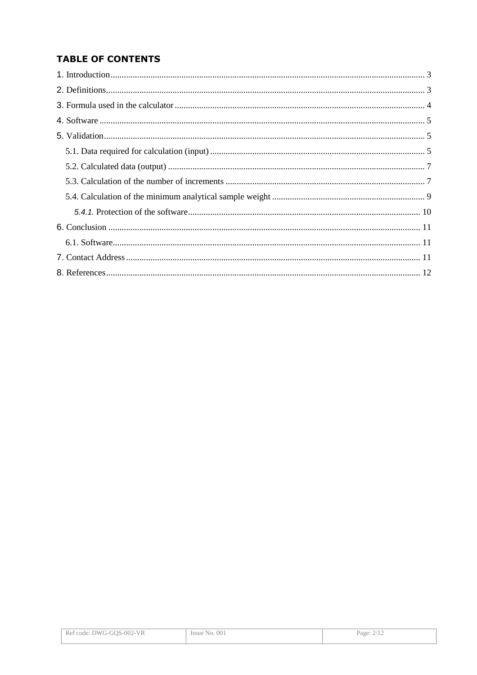# **TABLE OF CONTENTS**

| Ref code: DWG-GOS-002-VR | Issue No. 001 | Page: 2/12 |
|--------------------------|---------------|------------|
|--------------------------|---------------|------------|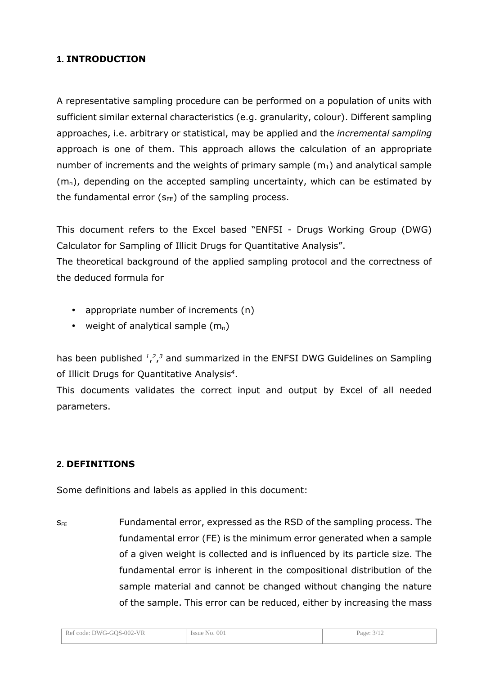## **1. INTRODUCTION**

A representative sampling procedure can be performed on a population of units with sufficient similar external characteristics (e.g. granularity, colour). Different sampling approaches, i.e. arbitrary or statistical, may be applied and the *incremental sampling* approach is one of them. This approach allows the calculation of an appropriate number of increments and the weights of primary sample  $(m_1)$  and analytical sample  $(m_n)$ , depending on the accepted sampling uncertainty, which can be estimated by the fundamental error  $(s_{FE})$  of the sampling process.

This document refers to the Excel based "ENFSI - Drugs Working Group (DWG) Calculator for Sampling of Illicit Drugs for Quantitative Analysis".

The theoretical background of the applied sampling protocol and the correctness of the deduced formula for

- appropriate number of increments (n)
- weight of analytical sample  $(m_n)$

has been published  $^{1,2,3}$  and summarized in the ENFSI DWG Guidelines on Sampling of Illicit Drugs for Quantitative Analysis*<sup>4</sup>* .

This documents validates the correct input and output by Excel of all needed parameters.

### **2. DEFINITIONS**

Some definitions and labels as applied in this document:

 $S_{FF}$  Fundamental error, expressed as the RSD of the sampling process. The fundamental error (FE) is the minimum error generated when a sample of a given weight is collected and is influenced by its particle size. The fundamental error is inherent in the compositional distribution of the sample material and cannot be changed without changing the nature of the sample. This error can be reduced, either by increasing the mass

| Ref code: DWG-GOS-002-VR | Issue No. 001 | Page: $3/12$ |
|--------------------------|---------------|--------------|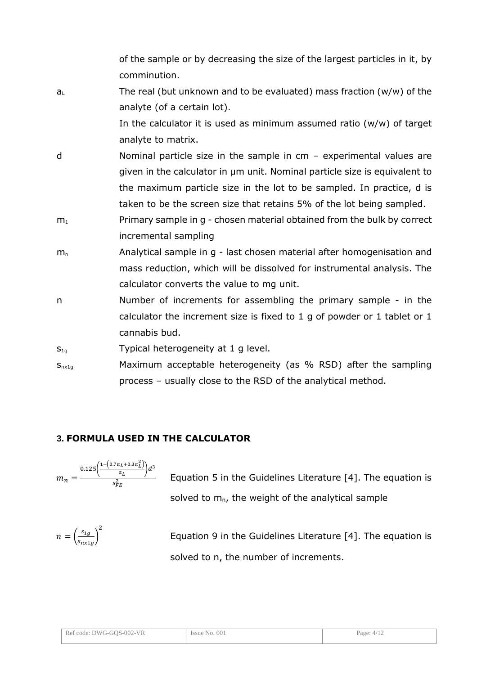of the sample or by decreasing the size of the largest particles in it, by comminution.

 $a<sub>L</sub>$  The real (but unknown and to be evaluated) mass fraction (w/w) of the analyte (of a certain lot).

> In the calculator it is used as minimum assumed ratio  $(w/w)$  of target analyte to matrix.

- d Nominal particle size in the sample in cm experimental values are given in the calculator in µm unit. Nominal particle size is equivalent to the maximum particle size in the lot to be sampled. In practice, d is taken to be the screen size that retains 5% of the lot being sampled.
- $m_1$  Primary sample in g chosen material obtained from the bulk by correct incremental sampling
- $m_n$  Analytical sample in g last chosen material after homogenisation and mass reduction, which will be dissolved for instrumental analysis. The calculator converts the value to mg unit.
- n Number of increments for assembling the primary sample in the calculator the increment size is fixed to 1 g of powder or 1 tablet or 1 cannabis bud.
- $S_{1g}$  Typical heterogeneity at 1 g level.
- $S<sub>nx1g</sub>$  Maximum acceptable heterogeneity (as % RSD) after the sampling process – usually close to the RSD of the analytical method.

# **3. FORMULA USED IN THE CALCULATOR**

$$
m_n = \frac{0.125 \left( \frac{1 - \left(0.7 a_L + 0.3 a_L^2\right)}{a_L}\right) d^3}{s_{FE}^2}
$$

 Equation 5 in the Guidelines Literature [4]. The equation is solved to  $m_n$ , the weight of the analytical sample

$$
n = \left(\frac{s_{1g}}{s_{n x 1 g}}\right)^2
$$

 Equation 9 in the Guidelines Literature [4]. The equation is solved to n, the number of increments.

| Ref code: DWG-GOS-002-VR | Issue No. 001 | Page: $4/12$ |
|--------------------------|---------------|--------------|
|                          |               |              |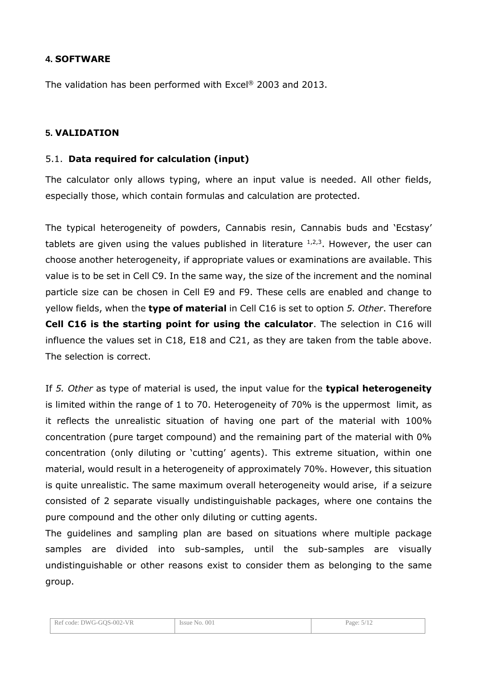### **4. SOFTWARE**

The validation has been performed with Excel® 2003 and 2013.

#### **5. VALIDATION**

#### 5.1. **Data required for calculation (input)**

The calculator only allows typing, where an input value is needed. All other fields, especially those, which contain formulas and calculation are protected.

The typical heterogeneity of powders, Cannabis resin, Cannabis buds and 'Ecstasy' tablets are given using the values published in literature  $1,2,3$ . However, the user can choose another heterogeneity, if appropriate values or examinations are available. This value is to be set in Cell C9. In the same way, the size of the increment and the nominal particle size can be chosen in Cell E9 and F9. These cells are enabled and change to yellow fields, when the **type of material** in Cell C16 is set to option *5. Other*. Therefore **Cell C16 is the starting point for using the calculator**. The selection in C16 will influence the values set in C18, E18 and C21, as they are taken from the table above. The selection is correct.

If *5. Other* as type of material is used, the input value for the **typical heterogeneity** is limited within the range of 1 to 70. Heterogeneity of 70% is the uppermost limit, as it reflects the unrealistic situation of having one part of the material with 100% concentration (pure target compound) and the remaining part of the material with 0% concentration (only diluting or 'cutting' agents). This extreme situation, within one material, would result in a heterogeneity of approximately 70%. However, this situation is quite unrealistic. The same maximum overall heterogeneity would arise, if a seizure consisted of 2 separate visually undistinguishable packages, where one contains the pure compound and the other only diluting or cutting agents.

The guidelines and sampling plan are based on situations where multiple package samples are divided into sub-samples, until the sub-samples are visually undistinguishable or other reasons exist to consider them as belonging to the same group.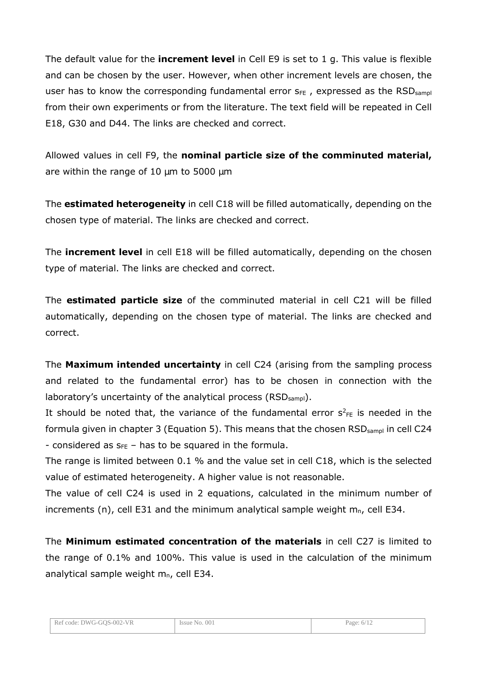The default value for the **increment level** in Cell E9 is set to 1 g. This value is flexible and can be chosen by the user. However, when other increment levels are chosen, the user has to know the corresponding fundamental error  $S_{FE}$ , expressed as the RSD sample from their own experiments or from the literature. The text field will be repeated in Cell E18, G30 and D44. The links are checked and correct.

Allowed values in cell F9, the **nominal particle size of the comminuted material,** are within the range of  $10 \mu m$  to  $5000 \mu m$ 

The **estimated heterogeneity** in cell C18 will be filled automatically, depending on the chosen type of material. The links are checked and correct.

The **increment level** in cell E18 will be filled automatically, depending on the chosen type of material. The links are checked and correct.

The **estimated particle size** of the comminuted material in cell C21 will be filled automatically, depending on the chosen type of material. The links are checked and correct.

The **Maximum intended uncertainty** in cell C24 (arising from the sampling process and related to the fundamental error) has to be chosen in connection with the laboratory's uncertainty of the analytical process (RSD<sub>sampl</sub>).

It should be noted that, the variance of the fundamental error  $s^2_{FE}$  is needed in the formula given in chapter 3 (Equation 5). This means that the chosen RSD<sub>sampl</sub> in cell C24 - considered as  $s_{FE}$  – has to be squared in the formula.

The range is limited between 0.1 % and the value set in cell C18, which is the selected value of estimated heterogeneity. A higher value is not reasonable.

The value of cell C24 is used in 2 equations, calculated in the minimum number of increments (n), cell E31 and the minimum analytical sample weight  $m_n$ , cell E34.

The **Minimum estimated concentration of the materials** in cell C27 is limited to the range of 0.1% and 100%. This value is used in the calculation of the minimum analytical sample weight  $m_n$ , cell E34.

| Ref code: DWG-GOS-002-VR                 | 001       | Page <sup>.</sup> |
|------------------------------------------|-----------|-------------------|
|                                          | Issue No. | 6/12              |
| the contract of the contract of the con- | .         |                   |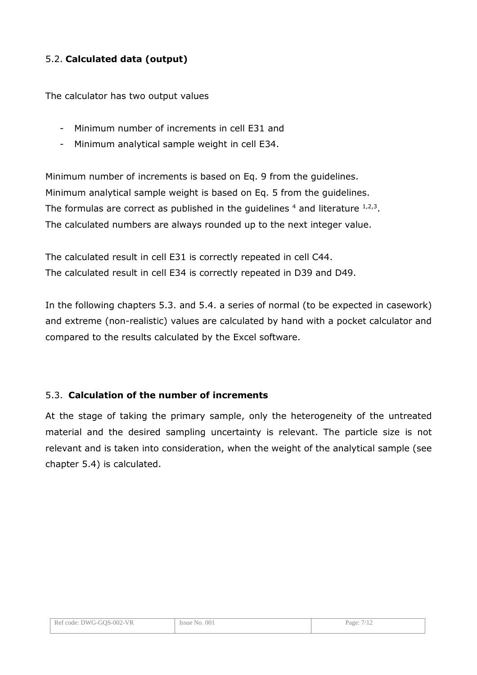# 5.2. **Calculated data (output)**

The calculator has two output values

- Minimum number of increments in cell E31 and
- Minimum analytical sample weight in cell E34.

Minimum number of increments is based on Eq. 9 from the guidelines. Minimum analytical sample weight is based on Eq. 5 from the guidelines. The formulas are correct as published in the guidelines  $^4$  and literature  $^{1,2,3}$ . The calculated numbers are always rounded up to the next integer value.

The calculated result in cell E31 is correctly repeated in cell C44. The calculated result in cell E34 is correctly repeated in D39 and D49.

In the following chapters 5.3. and 5.4. a series of normal (to be expected in casework) and extreme (non-realistic) values are calculated by hand with a pocket calculator and compared to the results calculated by the Excel software.

#### 5.3. **Calculation of the number of increments**

At the stage of taking the primary sample, only the heterogeneity of the untreated material and the desired sampling uncertainty is relevant. The particle size is not relevant and is taken into consideration, when the weight of the analytical sample (see chapter 5.4) is calculated.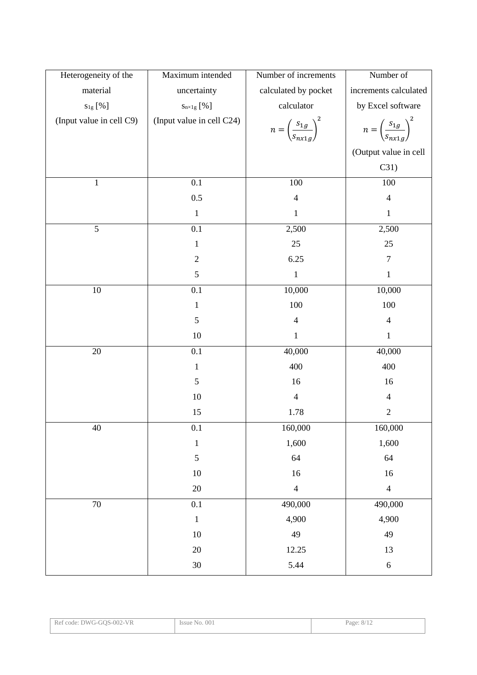| Heterogeneity of the     | Maximum intended          | Number of increments                            | Number of                                    |
|--------------------------|---------------------------|-------------------------------------------------|----------------------------------------------|
| material                 | uncertainty               | calculated by pocket                            | increments calculated                        |
| $s_{1g}$ [%]             | $S_{n\times 1g}$ [%]      | calculator                                      | by Excel software                            |
| (Input value in cell C9) | (Input value in cell C24) | $n = \left(\frac{s_{1g}}{s_{n x 1 g}}\right)^2$ | $n = \left(\frac{s_{1g}}{s_{nx1g}}\right)^2$ |
|                          |                           |                                                 | (Output value in cell                        |
|                          |                           |                                                 | C31)                                         |
| $\mathbf{1}$             | 0.1                       | 100                                             | 100                                          |
|                          | 0.5                       | $\overline{4}$                                  | $\overline{4}$                               |
|                          | $\mathbf 1$               | $\mathbf{1}$                                    | $\mathbf{1}$                                 |
| $\overline{5}$           | $\overline{0.1}$          | 2,500                                           | 2,500                                        |
|                          | $\mathbf{1}$              | $25\,$                                          | 25                                           |
|                          | $\mathbf{2}$              | 6.25                                            | $\tau$                                       |
|                          | 5                         | $\mathbf{1}$                                    | $\mathbf{1}$                                 |
| $10\,$                   | 0.1                       | 10,000                                          | 10,000                                       |
|                          | $\mathbf{1}$              | 100                                             | 100                                          |
|                          | 5                         | $\overline{4}$                                  | $\overline{4}$                               |
|                          | $10\,$                    | $\mathbf{1}$                                    | $\mathbf{1}$                                 |
| $20\,$                   | 0.1                       | 40,000                                          | 40,000                                       |
|                          | $\mathbf{1}$              | 400                                             | 400                                          |
|                          | 5                         | 16                                              | 16                                           |
|                          | 10                        | $\overline{4}$                                  | $\overline{4}$                               |
|                          | 15                        | 1.78                                            | $\mathbf{2}$                                 |
| 40                       | 0.1                       | 160,000                                         | 160,000                                      |
|                          | $\,1\,$                   | 1,600                                           | 1,600                                        |
|                          | $\sqrt{5}$                | 64                                              | 64                                           |
|                          | $10\,$                    | $16\,$                                          | 16                                           |
|                          | $20\,$                    | $\overline{4}$                                  | $\overline{4}$                               |
| 70                       | 0.1                       | 490,000                                         | 490,000                                      |
|                          | $\mathbf 1$               | 4,900                                           | 4,900                                        |
|                          | $10\,$                    | 49                                              | 49                                           |
|                          | $20\,$                    | 12.25                                           | 13                                           |
|                          | $30\,$                    | 5.44                                            | $\sqrt{6}$                                   |

| : DWG-GOS-002-VR | 001         | Page:  |
|------------------|-------------|--------|
| Ref code:        | <i>ssue</i> | $\sim$ |
|                  | `No.        | 18/1∠  |
|                  |             |        |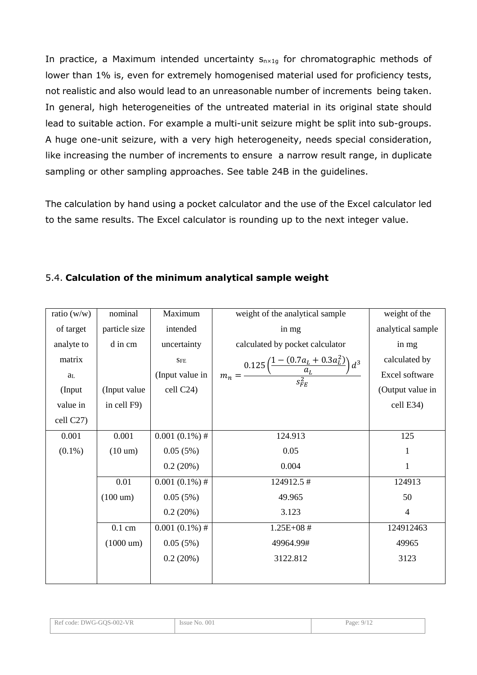In practice, a Maximum intended uncertainty  $S_{n \times 1g}$  for chromatographic methods of lower than 1% is, even for extremely homogenised material used for proficiency tests, not realistic and also would lead to an unreasonable number of increments being taken. In general, high heterogeneities of the untreated material in its original state should lead to suitable action. For example a multi-unit seizure might be split into sub-groups. A huge one-unit seizure, with a very high heterogeneity, needs special consideration, like increasing the number of increments to ensure a narrow result range, in duplicate sampling or other sampling approaches. See table 24B in the guidelines.

The calculation by hand using a pocket calculator and the use of the Excel calculator led to the same results. The Excel calculator is rounding up to the next integer value.

## 5.4. **Calculation of the minimum analytical sample weight**

| ratio $(w/w)$ | nominal             | Maximum          | weight of the analytical sample                                                     | weight of the     |
|---------------|---------------------|------------------|-------------------------------------------------------------------------------------|-------------------|
| of target     | particle size       | intended         | in mg                                                                               | analytical sample |
| analyte to    | d in cm             | uncertainty      | calculated by pocket calculator                                                     | in mg             |
| matrix        |                     | ${\rm SFE}$      |                                                                                     | calculated by     |
| $a_{\rm L}$   |                     | (Input value in  | $m_n = \frac{0.125 \left( \frac{1-(0.7 a_L+0.3 a_L^2)}{a_L} \right) d^3}{s_{FF}^2}$ | Excel software    |
| (Input        | (Input value)       | cell C24)        |                                                                                     | (Output value in  |
| value in      | in cell F9)         |                  |                                                                                     | cell E34)         |
| cell C27)     |                     |                  |                                                                                     |                   |
| 0.001         | 0.001               | $0.001(0.1\%)$ # | 124.913                                                                             | 125               |
| $(0.1\%)$     | $(10 \text{ um})$   | 0.05(5%)         | 0.05                                                                                | 1                 |
|               |                     | 0.2(20%)         | 0.004                                                                               | 1                 |
|               | 0.01                | $0.001(0.1\%)$ # | 124912.5#                                                                           | 124913            |
|               | $(100 \text{ um})$  | 0.05(5%)         | 49.965                                                                              | 50                |
|               |                     | 0.2(20%)         | 3.123                                                                               | $\overline{4}$    |
|               | $0.1 \text{ cm}$    | $0.001(0.1\%)$ # | $1.25E + 08$ #                                                                      | 124912463         |
|               | $(1000 \text{ um})$ | 0.05(5%)         | 49964.99#                                                                           | 49965             |
|               |                     | 0.2(20%)         | 3122.812                                                                            | 3123              |
|               |                     |                  |                                                                                     |                   |

| Ref code: DWG-GOS-002-VR | Issue No. 001 | Page: $9/1$ |
|--------------------------|---------------|-------------|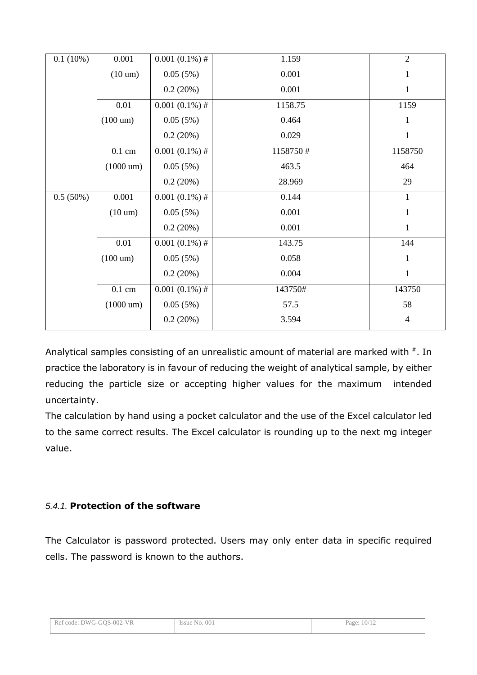| 0.1(10%) | 0.001               | $0.001(0.1\%)$ # | 1.159    | $\overline{2}$ |
|----------|---------------------|------------------|----------|----------------|
|          | $(10 \text{ um})$   | 0.05(5%)         | 0.001    | $\mathbf{1}$   |
|          |                     | 0.2(20%)         | 0.001    | $\mathbf{1}$   |
|          | 0.01                | $0.001(0.1\%)$ # | 1158.75  | 1159           |
|          | $(100 \text{ um})$  | 0.05(5%)         | 0.464    | $\mathbf{1}$   |
|          |                     | 0.2(20%)         | 0.029    | $\mathbf{1}$   |
|          | $0.1 \text{ cm}$    | $0.001(0.1\%)$ # | 1158750# | 1158750        |
|          | $(1000 \text{ um})$ | 0.05(5%)         | 463.5    | 464            |
|          |                     | 0.2(20%)         | 28.969   | 29             |
| 0.5(50%) | 0.001               | $0.001(0.1\%)$ # | 0.144    | $\mathbf{1}$   |
|          | $(10 \text{ um})$   | 0.05(5%)         | 0.001    | $\mathbf{1}$   |
|          |                     | 0.2(20%)         | 0.001    | 1              |
|          | 0.01                | $0.001(0.1\%)$ # | 143.75   | 144            |
|          | $(100 \text{ um})$  | 0.05(5%)         | 0.058    | 1              |
|          |                     | 0.2(20%)         | 0.004    | $\mathbf{1}$   |
|          | $0.1 \text{ cm}$    | $0.001(0.1\%)$ # | 143750#  | 143750         |
|          | $(1000 \text{ um})$ | 0.05(5%)         | 57.5     | 58             |
|          |                     | 0.2(20%)         | 3.594    | $\overline{4}$ |

Analytical samples consisting of an unrealistic amount of material are marked with  $*$ . In practice the laboratory is in favour of reducing the weight of analytical sample, by either reducing the particle size or accepting higher values for the maximum intended uncertainty.

The calculation by hand using a pocket calculator and the use of the Excel calculator led to the same correct results. The Excel calculator is rounding up to the next mg integer value.

### 5.4.1. **Protection of the software**

The Calculator is password protected. Users may only enter data in specific required cells. The password is known to the authors.

| Ref code: DWG-GOS-002-VR | Issue No. 001 | Page: 10/12 |
|--------------------------|---------------|-------------|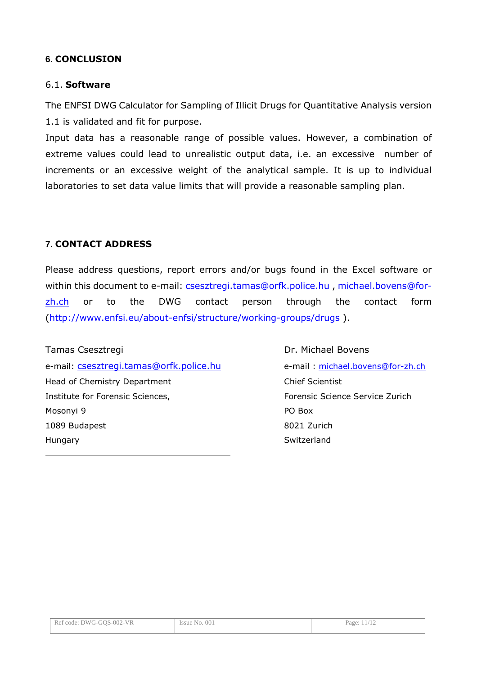#### **6. CONCLUSION**

#### 6.1. **Software**

The ENFSI DWG Calculator for Sampling of Illicit Drugs for Quantitative Analysis version 1.1 is validated and fit for purpose.

Input data has a reasonable range of possible values. However, a combination of extreme values could lead to unrealistic output data, i.e. an excessive number of increments or an excessive weight of the analytical sample. It is up to individual laboratories to set data value limits that will provide a reasonable sampling plan.

#### **7. CONTACT ADDRESS**

Please address questions, report errors and/or bugs found in the Excel software or within this document to e-mail: csesztregi.tamas@orfk.police.hu, michael.bovens@forzh.ch or to the DWG contact person through the contact form (http://www.enfsi.eu/about-enfsi/structure/working-groups/drugs ).

Tamas Csesztregi Dr. Michael Bovens e-mail: csesztregi.tamas@orfk.police.hu e-mail : michael.bovens@for-zh.ch Head of Chemistry Department Chief Scientist Institute for Forensic Sciences, Forensic Science Service Zurich Mosonyi 9 PO Box 1089 Budapest 8021 Zurich Hungary Switzerland

| Ref code: DWG-GOS-002-VR | Issue No. 001 | Page: 1 |
|--------------------------|---------------|---------|